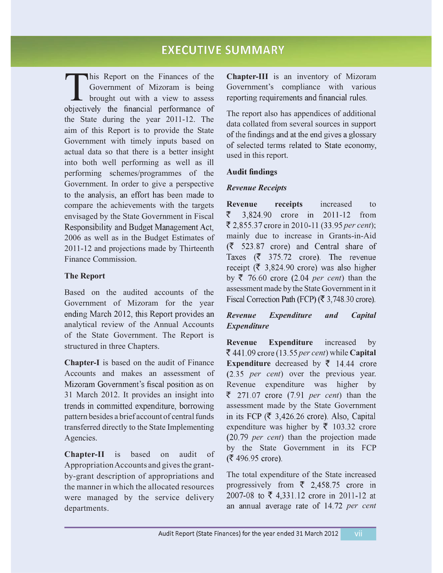# **EXECUTIVE SUMMARY**

his Report on the Finances of the Government of Mizoram is being brought out with a view to assess objectively the financial performance of the State during the year  $2011-12$ . The aim of this Report is to provide the State<br>of the findings and at the end gives a glossary Government with timely inputs based on actual data so that there is a better insight into both well performing as well as ill performing schemes/programmes of the Government. In order to give a perspective<br>to the analysis, an effort has been made to compare the achievements with the targets envisaged by the State Government in Fiscal Responsibility and Budget Management Act, 2006 as well as in the Budget Estimates of 2011-12 and projections made by Thirteenth Finance Commission.

#### **The Report**

Based on the audited accounts of the assessment made by the state Government in a Correction Path (FCP) ( $\bar{\tau}$  3,748.30 crore). Government of Mizoram for the year ending March 2012, this Report provides an analytical review of the Annual Accounts of the State Government. The Report is structured in three Chapters.

Chapter-I is based on the audit of Finance Accounts and makes an assessment of Mizoram Government's fiscal position as on 31 March 2012. It provides an insight into trends in committed expenditure, borrowing pattern besides a brief account of central funds transferred directly to the State Implementing Agencies.

**ChapterII** is based on audit of Appropriation Accounts and gives the grantby-grant description of appropriations and the manner in which the allocated resources were managed by the service delivery departments.

Chapter-III is an inventory of Mizoram Government's compliance with various<br>reporting requirements and financial rules.

The report also has appendices of additional data collated from several sources in support of selected terms related to State economy, used in this report.

#### *Revenue Receipts*

**Revenue receipts** increased to ₹ 3,824.90 crore in 2011-12 from ₹ 2,855.37 crore in 2010-11 (33.95 per cent); mainly due to increase in Grants-in-Aid  $(523.87$  crore) and Central share of Taxes ( $\bar{\zeta}$  375.72 crore). The revenue receipt ( $\overline{\xi}$  3,824.90 crore) was also higher by  $\bar{z}$  76.60 crore (2.04 *per cent*) than the assessment made by the State Government in it

#### *Revenue Expenditure and Capital Expenditure*

**Revenue Expenditure** increased by  $\bar{\epsilon}$  441.09 crore (13.55 *per cent*) while **Capital Expenditure** decreased by  $\bar{\tau}$  14.44 crore (2.35 *per cent*) over the previous year. Revenue expenditure was higher by  $\bar{\epsilon}$  271.07 crore (7.91 *per cent*) than the assessment made by the State Government in its FCP ( $\bar{\xi}$  3,426.26 crore). Also, Capital expenditure was higher by  $\bar{\tau}$  103.32 crore (20.79 *per cent*) than the projection made by the State Government in its FCP (₹ 496.95 crore).

The total expenditure of the State increased progressively from ₹ 2,458.75 crore in 2007-08 to ₹ 4,331.12 crore in 2011-12 at an annual average rate of 14.72 per cent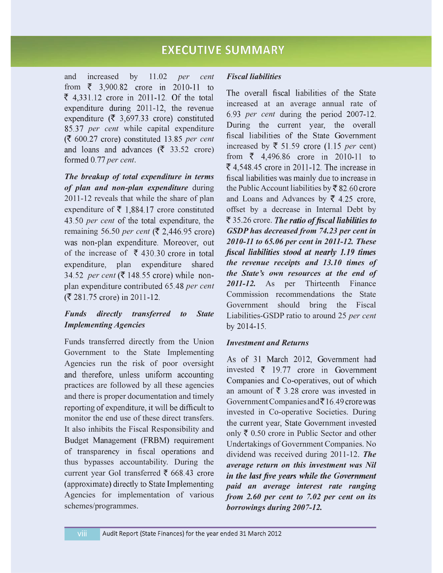and increased by 11.02 *per cent* from  $\bar{\xi}$  3,900.82 crore in 2010-11 to ₹ 4,331.12 crore in 2011-12. Of the total expenditure during 2011-12, the revenue expenditure ( $\bar{\xi}$  3,697.33 crore) constituted 85.37 *per cent* while capital expenditure<br>  $\sqrt{2}$  *per cent* while capital expenditure<br>  $\sqrt{2}$  *per cent* constituted 13.85 *per cent* fiscal liabilities of the State Government *(₹ 600.27 crore) constituted 13.85 per cent* and loans and advances ( $\bar{\xi}$  33.52 crore) formed 0.77 per cent.

*The breakup of total expenditure in terms of plan and non-plan expenditure* during 2011-12 reveals that while the share of plan expenditure of  $\bar{\tau}$  1,884.17 crore constituted 43.50 per cent of the total expenditure, the remaining 56.50 *per cent* was non-plan expenditure. Moreover, out of the increase of  $\bar{\tau}$  430.30 crore in total expenditure, plan expenditure shared 34.52 per cent ( $\bar{\xi}$  148.55 crore) while nonplan expenditure contributed 65.48 per cent (₹ 281.75 crore) in 2011-12.

## *Funds directly transferred to State Implementing Agencies*

Funds transferred directly from the Union Government to the State Implementing Agencies run the risk of poor oversight and therefore, unless uniform accounting practices are followed by all these agencies and there is proper documentation and timely reporting of expenditure, it will be difficult to monitor the end use of these direct transfers. It also inhibits the Fiscal Responsibility and Budget Management (FRBM) requirement of transparency in fiscal operations and thus bypasses accountability. During the current year GoI transferred  $\bar{\tau}$  668.43 crore (approximate) directly to State Implementing Agencies for implementation of various schemes/programmes.

#### *Fiscal liabilities*

The overall fiscal liabilities of the State increased at an average annual rate of 6.93 *per cent* during the period 2007-12. increased by  $\bar{\tau}$  51.59 crore (1.15 *per* cent) from  $\bar{z}$  4,496.86 crore in 2010-11 to ₹ 4,548.45 crore in 2011-12. The increase in fiscal liabilities was mainly due to increase in the Public Account liabilities by  $\bar{\mathcal{R}}$  82.60 crore and Loans and Advances by  $\overline{5}$  4.25 crore, offset by a decrease in Internal Debt by  $\bar{\xi}$  35.26 crore. The ratio of fiscal liabilities to *GSDP has decreased from 74.23 per cent in 201011 to 65.06 per cent in 201112. These* fiscal liabilities stood at nearly 1.19 times *the revenue receipts and 13.10 times of the State's own resources at the end of*  2011-12. As per Thirteenth Finance Commission recommendations the State Government should bring the Fiscal LiabilitiesGSDP ratio to around 25 *per cent* by 2014-15.

#### *Investment and Returns*

As of 31 March 2012, Government had invested  $\bar{\tau}$  19.77 crore in Government Companies and Co-operatives, out of which an amount of  $\bar{\xi}$  3.28 crore was invested in Government Companies and  $\bar{z}$  16.49 crore was invested in Co-operative Societies. During the current year, State Government invested only  $\bar{\tau}$  0.50 crore in Public Sector and other Undertakings of Government Companies. No dividend was received during 2011-12. **The** *average return on this investment was Nil* in the last five years while the Government *paid an average interest rate ranging from 2.60 per cent to 7.02 per cent on its borrowings during 2007-12.*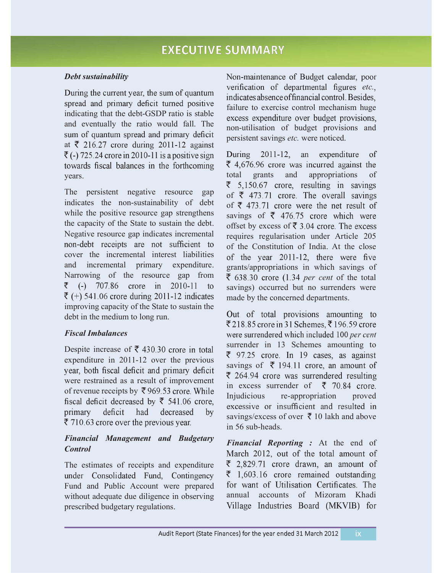#### *Debt sustainability*

During the current year, the sum of quantum spread and primary deficit turned positive indicating that the debt-GSDP ratio is stable and eventually the ratio would fall. The sum of quantum spread and primary deficit at  $\overline{\xi}$  216.27 crore during 2011-12 against  $\overline{\xi}$  (-) 725.24 crore in 2010-11 is a positive sign towards fiscal balances in the forthcoming years.

The persistent negative resource gap indicates the non-sustainability of debt while the positive resource gap strengthens the capacity of the State to sustain the debt. Negative resource gap indicates incremental non-debt receipts are not sufficient to cover the incremental interest liabilities and incremental primary expenditure. Narrowing of the resource gap from  $\bar{z}$  (-) 707.86 crore in 2010-11 to  $\bar{\epsilon}$  (+) 541.06 crore during 2011-12 indicates improving capacity of the State to sustain the debt in the medium to long run.

## *Fiscal Imbalances*

Despite increase of  $\bar{\xi}$  430.30 crore in total expenditure in 2011-12 over the previous year, both fiscal deficit and primary deficit were restrained as a result of improvement of revenue receipts by ₹969.53 crore. While<br>fiscal deficit decreased by ₹ 541.06 crore, primary deficit had decreased by ₹ 710.63 crore over the previous year.

#### *Financial Management and Budgetary Control*

The estimates of receipts and expenditure<br>under Consolidated Fund, Contingency Fund and Public Account were prepared without adequate due diligence in observing prescribed budgetary regulations.

Non-maintenance of Budget calendar, poor verification of departmental figures etc., indicates absence of financial control. Besides, failure to exercise control mechanism huge excess expenditure over budget provisions, non-utilisation of budget provisions and persistent savings *etc.* were noticed.

During 2011-12, an expenditure  $\delta$ ₹ 4,676.96 crore was incurred against the total grants and appropriations of  $\overline{\xi}$  5,150.67 crore, resulting in savings of  $\bar{\xi}$  473.71 crore. The overall savings of  $\bar{\xi}$  473.71 crore were the net result of savings of  $\overline{\xi}$  476.75 crore which were offset by excess of ₹ 3.04 crore. The excess requires regularisation under Article 205 of the Constitution of India. At the close of the year 2011-12, there were five grants/appropriations in which savings of  $\bar{\xi}$  638.30 crore (1.34 *per cent* of the total savings) occurred but no surrenders were made by the concerned departments.

Out of total provisions amounting to ₹218.85 crore in 31 Schemes, ₹196.59 crore were surrendered which included 100 per cent surrender in 13 Schemes amounting to  $\overline{\xi}$  97.25 crore. In 19 cases, as against savings of  $\bar{\tau}$  194.11 crore, an amount of  $\overline{\xi}$  264.94 crore was surrendered resulting in excess surrender of  $\bar{\tau}$  70.84 crore. Injudicious re-appropriation proved excessive or insufficient and resulted in savings/excess of over  $\bar{\tau}$  10 lakh and above  $in 56$  sub-heads.

*Financial Reporting :* At the end of March 2012, out of the total amount of  $\overline{\xi}$  2,829.71 crore drawn, an amount of  $\bar{z}$  1,603.16 crore remained outstanding for want of Utilisation Certificates. The annual accounts of Mizoram KhadiVillage Industries Board (MKVIB) for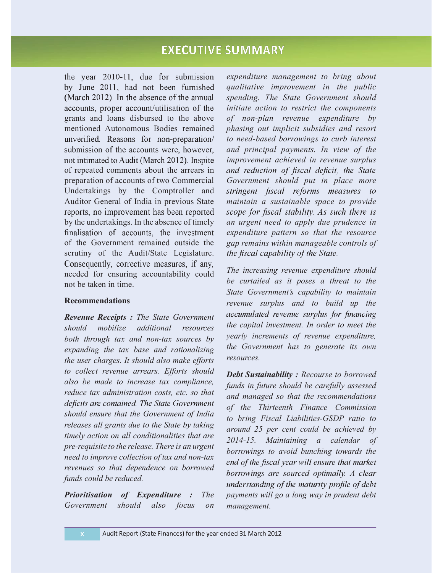## **EXECUTIVE SUMMARY**

the year 2010-11, due for submission by June 2011, had not been furnished (March 2012). In the absence of the annual accounts, proper account/utilisation of the grants and loans disbursed to the above mentioned Autonomous Bodies remained unverified. Reasons for non-preparation/ submission of the accounts were, however, not intimated to Audit (March 2012). Inspite of repeated comments about the arrears in preparation of accounts of two Commercial Undertakings by the Comptroller and Auditor General of India in previous State reports, no improvement has been reported by the undertakings. In the absence of timely finalisation of accounts, the investment of the Government remained outside the scrutiny of the Audit/State Legislature.<br>Consequently, corrective measures, if any, needed for ensuring accountability could not be taken in time.

#### **Recommendations**

*Revenue Receipts : The State Government should mobilize additional resources both through tax and non-tax sources by expanding the tax base and rationalizing the user charges. It should also make efforts to collect revenue arrears. Efforts should also be made to increase tax compliance, reduce tax administration costs, etc. so that* deficits are contained. The State Government *should ensure that the Government of India releases all grants due to the State by taking timely action on all conditionalities that are pre-requisite to the release. There is an urgent need to improve collection of tax and non-tax*<br>*end of the fiscal year will ensure that market revenues so that dependence on borrowed funds could be reduced.*

*Prioritisation of Expenditure : The Government should also focus on* 

*expenditure management to bring about qualitative improvement in the public spending. The State Government should initiate action to restrict the components of non-plan revenue expenditure by phasing out implicit subsidies and resort to needbased borrowings to curb interest and principal payments. In view of the improvement achieved in revenue surplus Government should put in place more* stringent fiscal reforms measures to *maintain a sustainable space to provide* scope for fiscal stability. As such there is *an urgent need to apply due prudence in expenditure pattern so that the resource gap remains within manageable controls of* the fiscal capability of the State.

*The increasing revenue expenditure should be curtailed as it poses a threat to the State Government's capability to maintain revenue surplus and to build up the* accumulated revenue surplus for financing *the capital investment. In order to meet the yearly increments of revenue expenditure, the Government has to generate its own resources.*

*Debt Sustainability : Recourse to borrowed funds in future should be carefully assessed and managed so that the recommendations of the Thirteenth Finance Commission to bring Fiscal LiabilitiesGSDP ratio to around 25 per cent could be achieved by 201415. Maintaining a calendar of borrowings to avoid bunching towards the* borrowings are sourced optimally. A clear understanding of the maturity profile of debt *payments will go a long way in prudent debt management.*